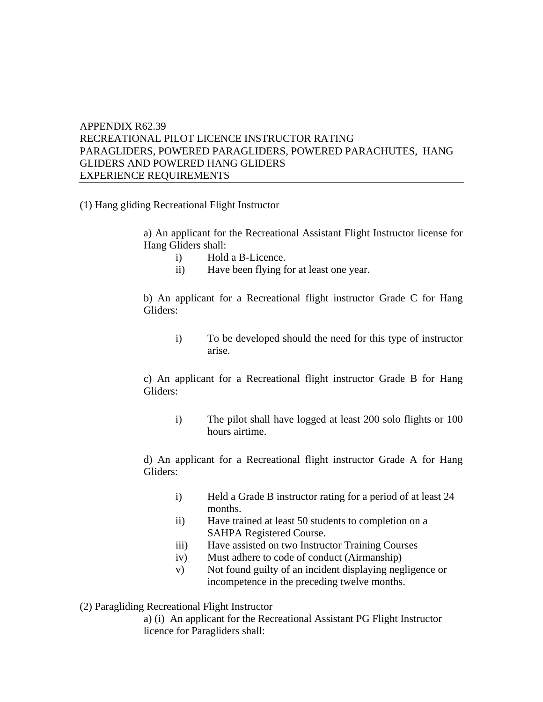## APPENDIX R62.39 RECREATIONAL PILOT LICENCE INSTRUCTOR RATING PARAGLIDERS, POWERED PARAGLIDERS, POWERED PARACHUTES, HANG GLIDERS AND POWERED HANG GLIDERS EXPERIENCE REQUIREMENTS

(1) Hang gliding Recreational Flight Instructor

a) An applicant for the Recreational Assistant Flight Instructor license for Hang Gliders shall:

- i) Hold a B-Licence.
- ii) Have been flying for at least one year.

b) An applicant for a Recreational flight instructor Grade C for Hang Gliders:

i) To be developed should the need for this type of instructor arise.

c) An applicant for a Recreational flight instructor Grade B for Hang Gliders:

i) The pilot shall have logged at least 200 solo flights or 100 hours airtime.

d) An applicant for a Recreational flight instructor Grade A for Hang Gliders:

- i) Held a Grade B instructor rating for a period of at least 24 months.
- ii) Have trained at least 50 students to completion on a SAHPA Registered Course.
- iii) Have assisted on two Instructor Training Courses
- iv) Must adhere to code of conduct (Airmanship)
- v) Not found guilty of an incident displaying negligence or incompetence in the preceding twelve months.
- (2) Paragliding Recreational Flight Instructor

a) (i) An applicant for the Recreational Assistant PG Flight Instructor licence for Paragliders shall: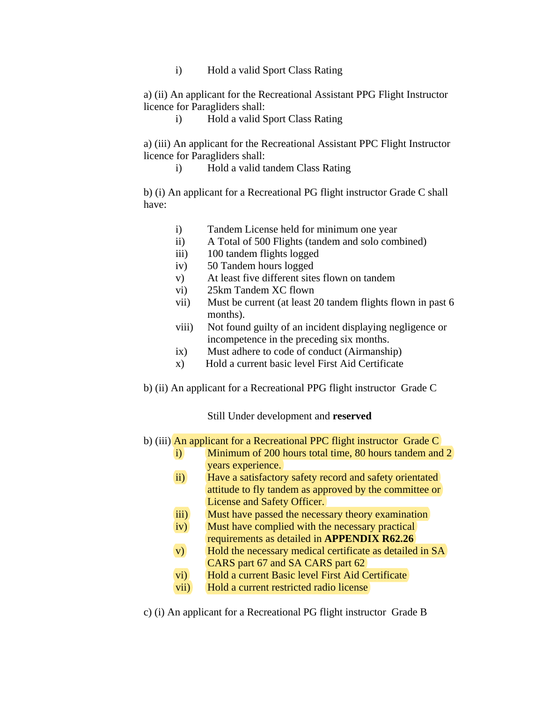i) Hold a valid Sport Class Rating

a) (ii) An applicant for the Recreational Assistant PPG Flight Instructor licence for Paragliders shall:

i) Hold a valid Sport Class Rating

a) (iii) An applicant for the Recreational Assistant PPC Flight Instructor licence for Paragliders shall:

i) Hold a valid tandem Class Rating

b) (i) An applicant for a Recreational PG flight instructor Grade C shall have:

- i) Tandem License held for minimum one year
- ii) A Total of 500 Flights (tandem and solo combined)
- iii) 100 tandem flights logged
- iv) 50 Tandem hours logged
- v) At least five different sites flown on tandem
- vi) 25km Tandem XC flown
- vii) Must be current (at least 20 tandem flights flown in past 6 months).
- viii) Not found guilty of an incident displaying negligence or incompetence in the preceding six months.
- ix) Must adhere to code of conduct (Airmanship)
- x) Hold a current basic level First Aid Certificate
- b) (ii) An applicant for a Recreational PPG flight instructor Grade C

## Still Under development and **reserved**

- b) (iii) An applicant for a Recreational PPC flight instructor Grade C
	- i) Minimum of 200 hours total time, 80 hours tandem and 2 years experience.
	- ii) Have a satisfactory safety record and safety orientated attitude to fly tandem as approved by the committee or License and Safety Officer.
	- iii) Must have passed the necessary theory examination
	- iv) Must have complied with the necessary practical requirements as detailed in **APPENDIX R62.26**
	- v) Hold the necessary medical certificate as detailed in SA CARS part 67 and SA CARS part 62
	- vi) Hold a current Basic level First Aid Certificate
	- vii) Hold a current restricted radio license
- c) (i) An applicant for a Recreational PG flight instructor Grade B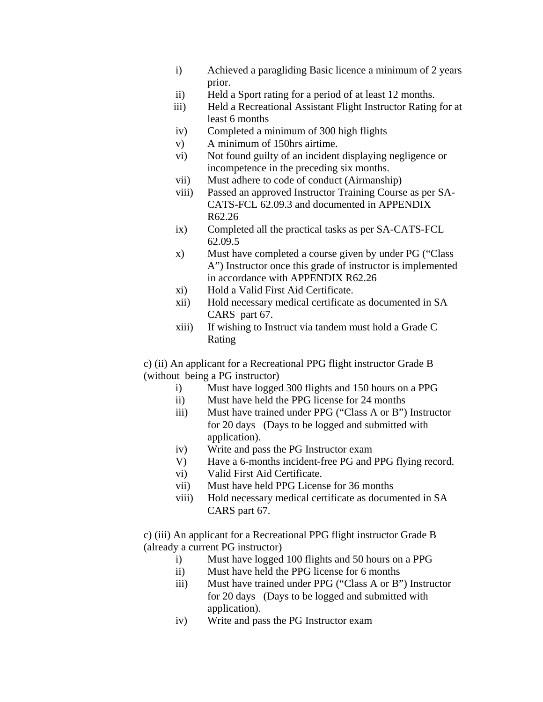- i) Achieved a paragliding Basic licence a minimum of 2 years prior.
- ii) Held a Sport rating for a period of at least 12 months.
- iii) Held a Recreational Assistant Flight Instructor Rating for at least 6 months
- iv) Completed a minimum of 300 high flights
- v) A minimum of 150hrs airtime.
- vi) Not found guilty of an incident displaying negligence or incompetence in the preceding six months.
- vii) Must adhere to code of conduct (Airmanship)
- viii) Passed an approved Instructor Training Course as per SA-CATS-FCL 62.09.3 and documented in APPENDIX R62.26
- ix) Completed all the practical tasks as per SA-CATS-FCL 62.09.5
- x) Must have completed a course given by under PG ("Class A") Instructor once this grade of instructor is implemented in accordance with APPENDIX R62.26
- xi) Hold a Valid First Aid Certificate.
- xii) Hold necessary medical certificate as documented in SA CARS part 67.
- xiii) If wishing to Instruct via tandem must hold a Grade C Rating

c) (ii) An applicant for a Recreational PPG flight instructor Grade B (without being a PG instructor)

- i) Must have logged 300 flights and 150 hours on a PPG
- ii) Must have held the PPG license for 24 months
- iii) Must have trained under PPG ("Class A or B") Instructor for 20 days (Days to be logged and submitted with application).
- iv) Write and pass the PG Instructor exam
- V) Have a 6-months incident-free PG and PPG flying record.
- vi) Valid First Aid Certificate.
- vii) Must have held PPG License for 36 months
- viii) Hold necessary medical certificate as documented in SA CARS part 67.

c) (iii) An applicant for a Recreational PPG flight instructor Grade B (already a current PG instructor)

- i) Must have logged 100 flights and 50 hours on a PPG
- ii) Must have held the PPG license for 6 months
- iii) Must have trained under PPG ("Class A or B") Instructor for 20 days (Days to be logged and submitted with application).
- iv) Write and pass the PG Instructor exam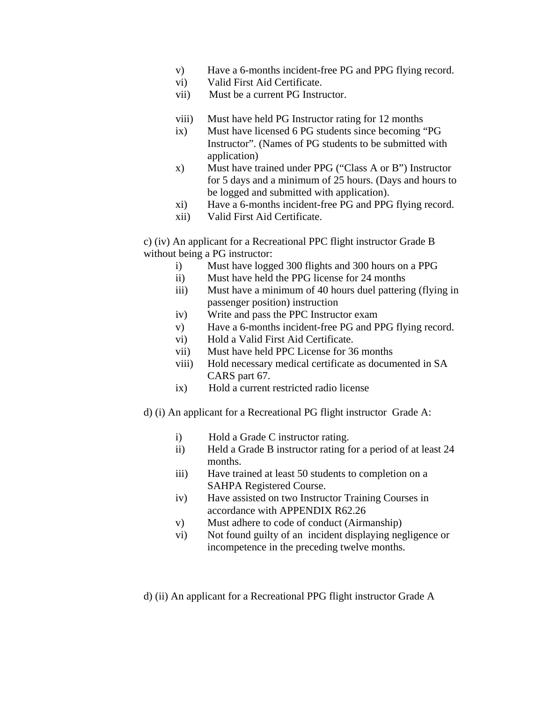- v) Have a 6-months incident-free PG and PPG flying record.
- vi) Valid First Aid Certificate.
- vii) Must be a current PG Instructor.
- viii) Must have held PG Instructor rating for 12 months
- ix) Must have licensed 6 PG students since becoming "PG Instructor". (Names of PG students to be submitted with application)
- x) Must have trained under PPG ("Class A or B") Instructor for 5 days and a minimum of 25 hours. (Days and hours to be logged and submitted with application).
- xi) Have a 6-months incident-free PG and PPG flying record.
- xii) Valid First Aid Certificate.

c) (iv) An applicant for a Recreational PPC flight instructor Grade B without being a PG instructor:

- i) Must have logged 300 flights and 300 hours on a PPG
- ii) Must have held the PPG license for 24 months
- iii) Must have a minimum of 40 hours duel pattering (flying in passenger position) instruction
- iv) Write and pass the PPC Instructor exam
- v) Have a 6-months incident-free PG and PPG flying record.
- vi) Hold a Valid First Aid Certificate.
- vii) Must have held PPC License for 36 months
- viii) Hold necessary medical certificate as documented in SA CARS part 67.
- ix) Hold a current restricted radio license
- d) (i) An applicant for a Recreational PG flight instructor Grade A:
	- i) Hold a Grade C instructor rating.
	- ii) Held a Grade B instructor rating for a period of at least 24 months.
	- iii) Have trained at least 50 students to completion on a SAHPA Registered Course.
	- iv) Have assisted on two Instructor Training Courses in accordance with APPENDIX R62.26
	- v) Must adhere to code of conduct (Airmanship)
	- vi) Not found guilty of an incident displaying negligence or incompetence in the preceding twelve months.
- d) (ii) An applicant for a Recreational PPG flight instructor Grade A